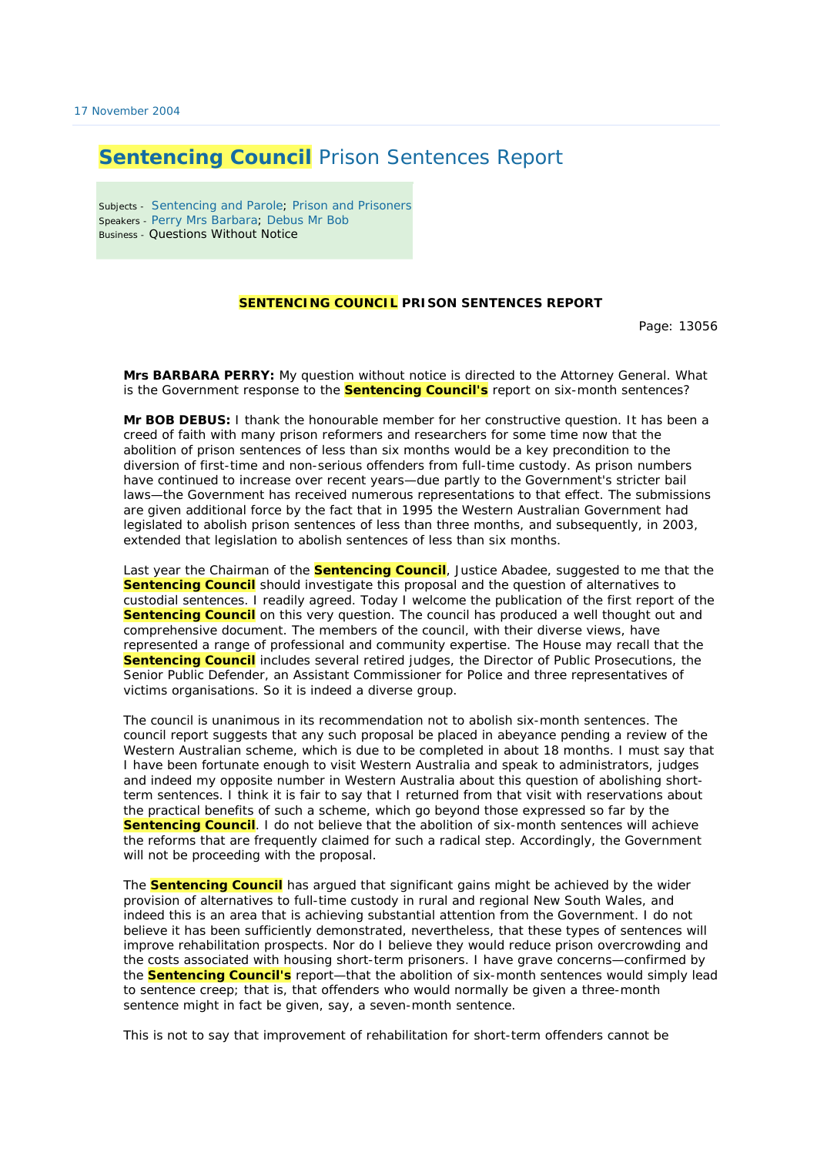## **Sentencing Council** Prison Sentences Report

Subjects - Sentencing and Parole; Prison and Prisoners Speakers - Perry Mrs Barbara; Debus Mr Bob Business - Questions Without Notice

## **SENTENCING COUNCIL PRISON SENTENCES REPORT**

Page: 13056

**Mrs BARBARA PERRY:** My question without notice is directed to the Attorney General. What is the Government response to the **Sentencing Council's** report on six-month sentences?

**Mr BOB DEBUS:** I thank the honourable member for her constructive question. It has been a creed of faith with many prison reformers and researchers for some time now that the abolition of prison sentences of less than six months would be a key precondition to the diversion of first-time and non-serious offenders from full-time custody. As prison numbers have continued to increase over recent years—due partly to the Government's stricter bail laws—the Government has received numerous representations to that effect. The submissions are given additional force by the fact that in 1995 the Western Australian Government had legislated to abolish prison sentences of less than three months, and subsequently, in 2003, extended that legislation to abolish sentences of less than six months.

Last year the Chairman of the **Sentencing Council**, Justice Abadee, suggested to me that the **Sentencing Council** should investigate this proposal and the question of alternatives to custodial sentences. I readily agreed. Today I welcome the publication of the first report of the **Sentencing Council** on this very question. The council has produced a well thought out and comprehensive document. The members of the council, with their diverse views, have represented a range of professional and community expertise. The House may recall that the **Sentencing Council** includes several retired judges, the Director of Public Prosecutions, the Senior Public Defender, an Assistant Commissioner for Police and three representatives of victims organisations. So it is indeed a diverse group.

The council is unanimous in its recommendation not to abolish six-month sentences. The council report suggests that any such proposal be placed in abeyance pending a review of the Western Australian scheme, which is due to be completed in about 18 months. I must say that I have been fortunate enough to visit Western Australia and speak to administrators, judges and indeed my opposite number in Western Australia about this question of abolishing shortterm sentences. I think it is fair to say that I returned from that visit with reservations about the practical benefits of such a scheme, which go beyond those expressed so far by the **Sentencing Council**. I do not believe that the abolition of six-month sentences will achieve the reforms that are frequently claimed for such a radical step. Accordingly, the Government will not be proceeding with the proposal.

The **Sentencing Council** has argued that significant gains might be achieved by the wider provision of alternatives to full-time custody in rural and regional New South Wales, and indeed this is an area that is achieving substantial attention from the Government. I do not believe it has been sufficiently demonstrated, nevertheless, that these types of sentences will improve rehabilitation prospects. Nor do I believe they would reduce prison overcrowding and the costs associated with housing short-term prisoners. I have grave concerns—confirmed by the **Sentencing Council's** report—that the abolition of six-month sentences would simply lead to sentence creep; that is, that offenders who would normally be given a three-month sentence might in fact be given, say, a seven-month sentence.

This is not to say that improvement of rehabilitation for short-term offenders cannot be